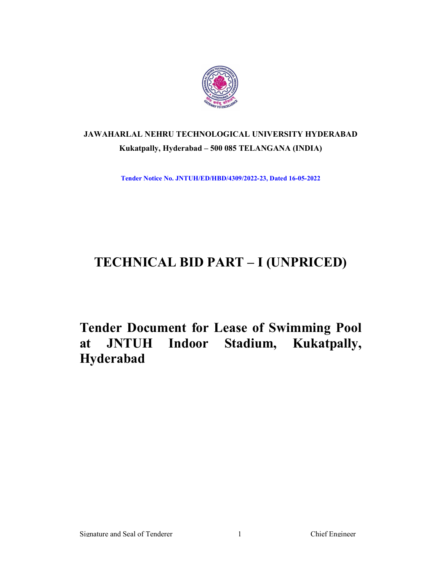

# JAWAHARLAL NEHRU TECHNOLOGICAL UNIVERSITY HYDERABAD Kukatpally, Hyderabad – 500 085 TELANGANA (INDIA)

Tender Notice No. JNTUH/ED/HBD/4309/2022-23, Dated 16-05-2022

# TECHNICAL BID PART – I (UNPRICED)

Tender Document for Lease of Swimming Pool at JNTUH Indoor Stadium, Kukatpally, Hyderabad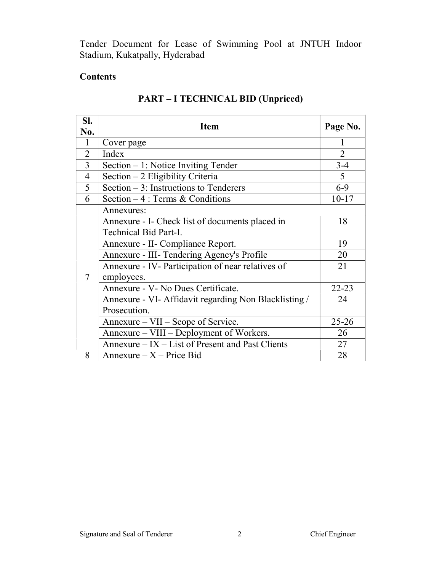Tender Document for Lease of Swimming Pool at JNTUH Indoor Stadium, Kukatpally, Hyderabad

# **Contents**

| SI.<br>No.     | <b>Item</b>                                           | Page No.       |  |
|----------------|-------------------------------------------------------|----------------|--|
| 1              | Cover page                                            |                |  |
| $\overline{2}$ | Index                                                 | $\overline{2}$ |  |
| 3              | Section $-1$ : Notice Inviting Tender                 | $3 - 4$        |  |
| $\overline{4}$ | Section $-2$ Eligibility Criteria                     | 5              |  |
| 5              | Section $-3$ : Instructions to Tenderers<br>$6 - 9$   |                |  |
| 6              | Section $-4$ : Terms & Conditions                     | $10 - 17$      |  |
|                | Annexures:                                            |                |  |
|                | Annexure - I- Check list of documents placed in       | 18             |  |
|                | Technical Bid Part-I.                                 |                |  |
|                | Annexure - II- Compliance Report.                     | 19             |  |
|                | Annexure - III- Tendering Agency's Profile            | 20             |  |
|                | Annexure - IV- Participation of near relatives of     | 21             |  |
| $\tau$         | employees.                                            |                |  |
|                | Annexure - V- No Dues Certificate.                    | $22 - 23$      |  |
|                | Annexure - VI- Affidavit regarding Non Blacklisting / | 24             |  |
|                | Prosecution.                                          |                |  |
|                | Annexure – VII – Scope of Service.                    | $25 - 26$      |  |
|                | Annexure – VIII – Deployment of Workers.              | 26             |  |
|                | Annexure – IX – List of Present and Past Clients      | 27             |  |
| 8              | Annexure $-X$ – Price Bid                             | 28             |  |

# PART – I TECHNICAL BID (Unpriced)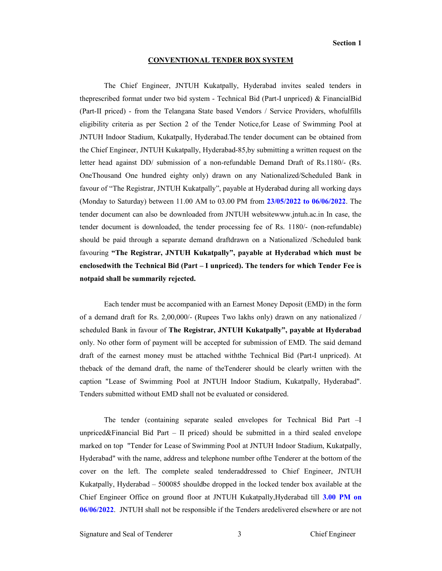#### CONVENTIONAL TENDER BOX SYSTEM

The Chief Engineer, JNTUH Kukatpally, Hyderabad invites sealed tenders in theprescribed format under two bid system - Technical Bid (Part-I unpriced) & FinancialBid (Part-II priced) - from the Telangana State based Vendors / Service Providers, whofulfills eligibility criteria as per Section 2 of the Tender Notice,for Lease of Swimming Pool at JNTUH Indoor Stadium, Kukatpally, Hyderabad.The tender document can be obtained from the Chief Engineer, JNTUH Kukatpally, Hyderabad-85,by submitting a written request on the letter head against DD/ submission of a non-refundable Demand Draft of Rs.1180/- (Rs. OneThousand One hundred eighty only) drawn on any Nationalized/Scheduled Bank in favour of "The Registrar, JNTUH Kukatpally", payable at Hyderabad during all working days (Monday to Saturday) between 11.00 AM to 03.00 PM from 23/05/2022 to 06/06/2022. The tender document can also be downloaded from JNTUH websitewww.jntuh.ac.in In case, the tender document is downloaded, the tender processing fee of Rs. 1180/- (non-refundable) should be paid through a separate demand draftdrawn on a Nationalized /Scheduled bank favouring "The Registrar, JNTUH Kukatpally", payable at Hyderabad which must be enclosedwith the Technical Bid (Part – I unpriced). The tenders for which Tender Fee is notpaid shall be summarily rejected.

Each tender must be accompanied with an Earnest Money Deposit (EMD) in the form of a demand draft for Rs. 2,00,000/- (Rupees Two lakhs only) drawn on any nationalized / scheduled Bank in favour of The Registrar, JNTUH Kukatpally", payable at Hyderabad only. No other form of payment will be accepted for submission of EMD. The said demand draft of the earnest money must be attached withthe Technical Bid (Part-I unpriced). At theback of the demand draft, the name of theTenderer should be clearly written with the caption "Lease of Swimming Pool at JNTUH Indoor Stadium, Kukatpally, Hyderabad". Tenders submitted without EMD shall not be evaluated or considered.

The tender (containing separate sealed envelopes for Technical Bid Part –I unpriced $\&$ Financial Bid Part – II priced) should be submitted in a third sealed envelope marked on top "Tender for Lease of Swimming Pool at JNTUH Indoor Stadium, Kukatpally, Hyderabad" with the name, address and telephone number ofthe Tenderer at the bottom of the cover on the left. The complete sealed tenderaddressed to Chief Engineer, JNTUH Kukatpally, Hyderabad – 500085 shouldbe dropped in the locked tender box available at the Chief Engineer Office on ground floor at JNTUH Kukatpally,Hyderabad till 3.00 PM on 06/06/2022. JNTUH shall not be responsible if the Tenders aredelivered elsewhere or are not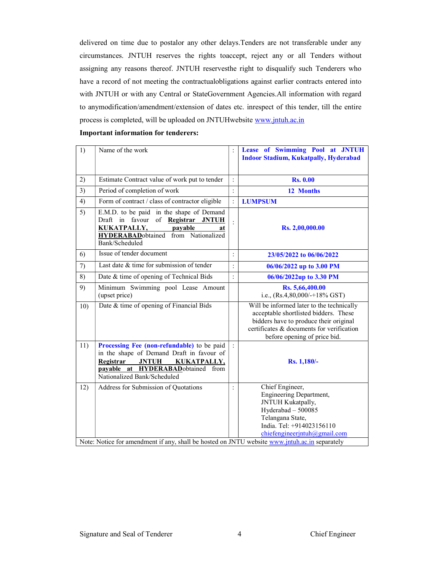delivered on time due to postalor any other delays.Tenders are not transferable under any circumstances. JNTUH reserves the rights toaccept, reject any or all Tenders without assigning any reasons thereof. JNTUH reservesthe right to disqualify such Tenderers who have a record of not meeting the contractualobligations against earlier contracts entered into with JNTUH or with any Central or StateGovernment Agencies.All information with regard to anymodification/amendment/extension of dates etc. inrespect of this tender, till the entire process is completed, will be uploaded on JNTUHwebsite www.jntuh.ac.in

|  |  | <b>Important information for tenderers:</b> |
|--|--|---------------------------------------------|
|--|--|---------------------------------------------|

| 1)  | Name of the work                                                                                                                                                                                               |                | Lease of Swimming Pool at JNTUH<br><b>Indoor Stadium, Kukatpally, Hyderabad</b>                                                                                                                           |
|-----|----------------------------------------------------------------------------------------------------------------------------------------------------------------------------------------------------------------|----------------|-----------------------------------------------------------------------------------------------------------------------------------------------------------------------------------------------------------|
| 2)  | Estimate Contract value of work put to tender                                                                                                                                                                  | $\ddot{\cdot}$ | <b>Rs. 0.00</b>                                                                                                                                                                                           |
| 3)  | Period of completion of work                                                                                                                                                                                   | $\ddot{\cdot}$ | 12 Months                                                                                                                                                                                                 |
| 4)  | Form of contract / class of contractor eligible                                                                                                                                                                | $\ddot{\cdot}$ | <b>LUMPSUM</b>                                                                                                                                                                                            |
| 5)  | E.M.D. to be paid in the shape of Demand<br>Draft in favour of Registrar JNTUH<br>KUKATPALLY,<br>payable<br>at<br><b>HYDERABAD</b> obtained from Nationalized<br>Bank/Scheduled                                | $\ddot{\cdot}$ | Rs. 2,00,000.00                                                                                                                                                                                           |
| 6)  | Issue of tender document                                                                                                                                                                                       | $\ddot{\cdot}$ | 23/05/2022 to 06/06/2022                                                                                                                                                                                  |
| 7)  | Last date & time for submission of tender                                                                                                                                                                      | $\ddot{\cdot}$ | 06/06/2022 up to 3.00 PM                                                                                                                                                                                  |
| 8)  | Date & time of opening of Technical Bids                                                                                                                                                                       | $\ddot{\cdot}$ | 06/06/2022up to 3.30 PM                                                                                                                                                                                   |
| 9)  | Minimum Swimming pool Lease Amount<br>(upset price)                                                                                                                                                            |                | Rs. 5,66,400.00<br>i.e., $(Rs.4, 80, 000/+18\%$ GST)                                                                                                                                                      |
| 10) | Date & time of opening of Financial Bids                                                                                                                                                                       |                | Will be informed later to the technically<br>acceptable shortlisted bidders. These<br>bidders have to produce their original<br>certificates & documents for verification<br>before opening of price bid. |
| 11) | Processing Fee (non-refundable) to be paid<br>in the shape of Demand Draft in favour of<br>Registrar<br><b>JNTUH</b><br><b>KUKATPALLY,</b><br>payable at HYDERABADobtained from<br>Nationalized Bank/Scheduled |                | Rs. 1,180/-                                                                                                                                                                                               |
| 12) | Address for Submission of Quotations<br>Note: Notice for amendment if any, shall be hosted on JNTU website www.jntuh.ac.in separately                                                                          | $\ddot{\cdot}$ | Chief Engineer,<br><b>Engineering Department,</b><br>JNTUH Kukatpally,<br>Hyderabad - 500085<br>Telangana State,<br>India. Tel: +914023156110<br>chiefengineerjntuh@gmail.com                             |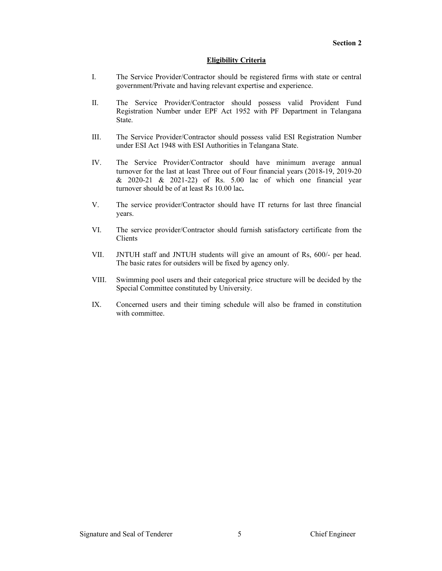#### Eligibility Criteria

- I. The Service Provider/Contractor should be registered firms with state or central government/Private and having relevant expertise and experience.
- II. The Service Provider/Contractor should possess valid Provident Fund Registration Number under EPF Act 1952 with PF Department in Telangana State.
- III. The Service Provider/Contractor should possess valid ESI Registration Number under ESI Act 1948 with ESI Authorities in Telangana State.
- IV. The Service Provider/Contractor should have minimum average annual turnover for the last at least Three out of Four financial years (2018-19, 2019-20 & 2020-21 & 2021-22) of Rs. 5.00 lac of which one financial year turnover should be of at least Rs 10.00 lac.
- V. The service provider/Contractor should have IT returns for last three financial years.
- VI. The service provider/Contractor should furnish satisfactory certificate from the Clients
- VII. JNTUH staff and JNTUH students will give an amount of Rs, 600/- per head. The basic rates for outsiders will be fixed by agency only.
- VIII. Swimming pool users and their categorical price structure will be decided by the Special Committee constituted by University.
- IX. Concerned users and their timing schedule will also be framed in constitution with committee.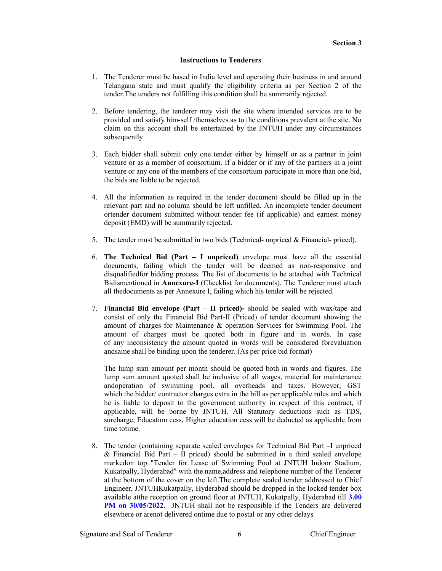### Instructions to Tenderers

- 1. The Tenderer must be based in India level and operating their business in and around Telangana state and must qualify the eligibility criteria as per Section 2 of the tender.The tenders not fulfilling this condition shall be summarily rejected.
- 2. Before tendering, the tenderer may visit the site where intended services are to be provided and satisfy him-self /themselves as to the conditions prevalent at the site. No claim on this account shall be entertained by the JNTUH under any circumstances subsequently.
- 3. Each bidder shall submit only one tender either by himself or as a partner in joint venture or as a member of consortium. If a bidder or if any of the partners in a joint venture or any one of the members of the consortium participate in more than one bid, the bids are liable to be rejected.
- 4. All the information as required in the tender document should be filled up in the relevant part and no column should be left unfilled. An incomplete tender document ortender document submitted without tender fee (if applicable) and earnest money deposit (EMD) will be summarily rejected.
- 5. The tender must be submitted in two bids (Technical- unpriced & Financial- priced).
- 6. The Technical Bid (Part  $-$  I unpriced) envelope must have all the essential documents, failing which the tender will be deemed as non-responsive and disqualifiedfor bidding process. The list of documents to be attached with Technical Bidismentioned in Annexure-I (Checklist for documents). The Tenderer must attach all thedocuments as per Annexure I, failing which his tender will be rejected.
- 7. Financial Bid envelope (Part II priced)- should be sealed with wax/tape and consist of only the Financial Bid Part-II (Priced) of tender document showing the amount of charges for Maintenance & operation Services for Swimming Pool. The amount of charges must be quoted both in figure and in words. In case of any inconsistency the amount quoted in words will be considered forevaluation andsame shall be binding upon the tenderer. (As per price bid format)

The lump sum amount per month should be quoted both in words and figures. The lump sum amount quoted shall be inclusive of all wages, material for maintenance andoperation of swimming pool, all overheads and taxes. However, GST which the bidder/ contractor charges extra in the bill as per applicable rules and which he is liable to deposit to the government authority in respect of this contract, if applicable, will be borne by JNTUH. All Statutory deductions such as TDS, surcharge, Education cess, Higher education cess will be deducted as applicable from time totime.

8. The tender (containing separate sealed envelopes for Technical Bid Part –I unpriced & Financial Bid Part – II priced) should be submitted in a third sealed envelope markedon top "Tender for Lease of Swimming Pool at JNTUH Indoor Stadium, Kukatpally, Hyderabad" with the name,address and telephone number of the Tenderer at the bottom of the cover on the left.The complete sealed tender addressed to Chief Engineer, JNTUHKukatpally, Hyderabad should be dropped in the locked tender box available atthe reception on ground floor at JNTUH, Kukatpally, Hyderabad till 3.00 PM on 30/05/2022. JNTUH shall not be responsible if the Tenders are delivered elsewhere or arenot delivered ontime due to postal or any other delays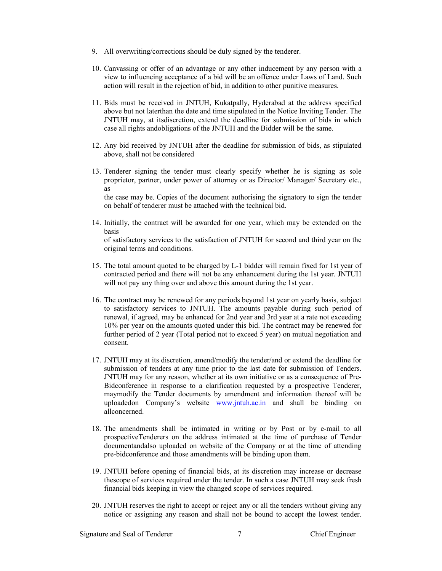- 9. All overwriting/corrections should be duly signed by the tenderer.
- 10. Canvassing or offer of an advantage or any other inducement by any person with a view to influencing acceptance of a bid will be an offence under Laws of Land. Such action will result in the rejection of bid, in addition to other punitive measures.
- 11. Bids must be received in JNTUH, Kukatpally, Hyderabad at the address specified above but not laterthan the date and time stipulated in the Notice Inviting Tender. The JNTUH may, at itsdiscretion, extend the deadline for submission of bids in which case all rights andobligations of the JNTUH and the Bidder will be the same.
- 12. Any bid received by JNTUH after the deadline for submission of bids, as stipulated above, shall not be considered
- 13. Tenderer signing the tender must clearly specify whether he is signing as sole proprietor, partner, under power of attorney or as Director/ Manager/ Secretary etc., as the case may be. Copies of the document authorising the signatory to sign the tender

on behalf of tenderer must be attached with the technical bid.

- 14. Initially, the contract will be awarded for one year, which may be extended on the basis of satisfactory services to the satisfaction of JNTUH for second and third year on the original terms and conditions.
- 15. The total amount quoted to be charged by L-1 bidder will remain fixed for 1st year of contracted period and there will not be any enhancement during the 1st year. JNTUH will not pay any thing over and above this amount during the 1st year.
- 16. The contract may be renewed for any periods beyond 1st year on yearly basis, subject to satisfactory services to JNTUH. The amounts payable during such period of renewal, if agreed, may be enhanced for 2nd year and 3rd year at a rate not exceeding 10% per year on the amounts quoted under this bid. The contract may be renewed for further period of 2 year (Total period not to exceed 5 year) on mutual negotiation and consent.
- 17. JNTUH may at its discretion, amend/modify the tender/and or extend the deadline for submission of tenders at any time prior to the last date for submission of Tenders. JNTUH may for any reason, whether at its own initiative or as a consequence of Pre-Bidconference in response to a clarification requested by a prospective Tenderer, maymodify the Tender documents by amendment and information thereof will be uploadedon Company's website www.jntuh.ac.in and shall be binding on allconcerned.
- 18. The amendments shall be intimated in writing or by Post or by e-mail to all prospectiveTenderers on the address intimated at the time of purchase of Tender documentandalso uploaded on website of the Company or at the time of attending pre-bidconference and those amendments will be binding upon them.
- 19. JNTUH before opening of financial bids, at its discretion may increase or decrease thescope of services required under the tender. In such a case JNTUH may seek fresh financial bids keeping in view the changed scope of services required.
- 20. JNTUH reserves the right to accept or reject any or all the tenders without giving any notice or assigning any reason and shall not be bound to accept the lowest tender.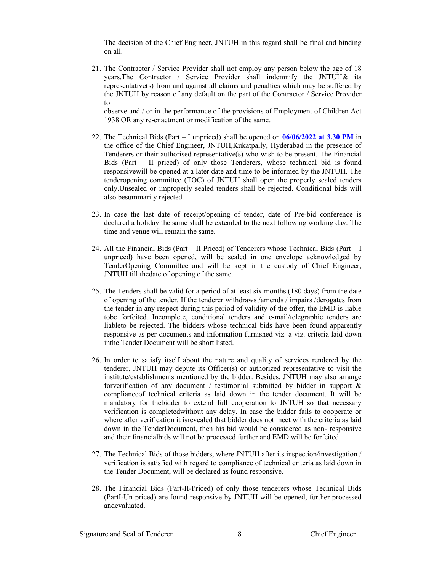The decision of the Chief Engineer, JNTUH in this regard shall be final and binding on all.

21. The Contractor / Service Provider shall not employ any person below the age of 18 years.The Contractor / Service Provider shall indemnify the JNTUH& its representative(s) from and against all claims and penalties which may be suffered by the JNTUH by reason of any default on the part of the Contractor / Service Provider to

observe and / or in the performance of the provisions of Employment of Children Act 1938 OR any re-enactment or modification of the same.

- 22. The Technical Bids (Part I unpriced) shall be opened on  $06/06/2022$  at 3.30 PM in the office of the Chief Engineer, JNTUH,Kukatpally, Hyderabad in the presence of Tenderers or their authorised representative(s) who wish to be present. The Financial Bids (Part – II priced) of only those Tenderers, whose technical bid is found responsivewill be opened at a later date and time to be informed by the JNTUH. The tenderopening committee (TOC) of JNTUH shall open the properly sealed tenders only.Unsealed or improperly sealed tenders shall be rejected. Conditional bids will also besummarily rejected.
- 23. In case the last date of receipt/opening of tender, date of Pre-bid conference is declared a holiday the same shall be extended to the next following working day. The time and venue will remain the same.
- 24. All the Financial Bids (Part II Priced) of Tenderers whose Technical Bids (Part I unpriced) have been opened, will be sealed in one envelope acknowledged by TenderOpening Committee and will be kept in the custody of Chief Engineer, JNTUH till thedate of opening of the same.
- 25. The Tenders shall be valid for a period of at least six months (180 days) from the date of opening of the tender. If the tenderer withdraws /amends / impairs /derogates from the tender in any respect during this period of validity of the offer, the EMD is liable tobe forfeited. Incomplete, conditional tenders and e-mail/telegraphic tenders are liableto be rejected. The bidders whose technical bids have been found apparently responsive as per documents and information furnished viz. a viz. criteria laid down inthe Tender Document will be short listed.
- 26. In order to satisfy itself about the nature and quality of services rendered by the tenderer, JNTUH may depute its Officer(s) or authorized representative to visit the institute/establishments mentioned by the bidder. Besides, JNTUH may also arrange forverification of any document / testimonial submitted by bidder in support & complianceof technical criteria as laid down in the tender document. It will be mandatory for thebidder to extend full cooperation to JNTUH so that necessary verification is completedwithout any delay. In case the bidder fails to cooperate or where after verification it isrevealed that bidder does not meet with the criteria as laid down in the TenderDocument, then his bid would be considered as non- responsive and their financialbids will not be processed further and EMD will be forfeited.
- 27. The Technical Bids of those bidders, where JNTUH after its inspection/investigation / verification is satisfied with regard to compliance of technical criteria as laid down in the Tender Document, will be declared as found responsive.
- 28. The Financial Bids (Part-II-Priced) of only those tenderers whose Technical Bids (PartI-Un priced) are found responsive by JNTUH will be opened, further processed andevaluated.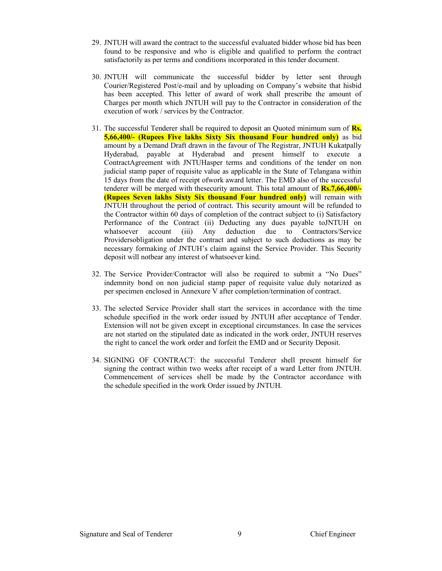- 29. JNTUH will award the contract to the successful evaluated bidder whose bid has been found to be responsive and who is eligible and qualified to perform the contract satisfactorily as per terms and conditions incorporated in this tender document.
- 30. JNTUH will communicate the successful bidder by letter sent through Courier/Registered Post/e-mail and by uploading on Company's website that hisbid has been accepted. This letter of award of work shall prescribe the amount of Charges per month which JNTUH will pay to the Contractor in consideration of the execution of work / services by the Contractor.
- 31. The successful Tenderer shall be required to deposit an Quoted minimum sum of Rs. 5,66,400/- (Rupees Five lakhs Sixty Six thousand Four hundred only) as bid amount by a Demand Draft drawn in the favour of The Registrar, JNTUH Kukatpally Hyderabad, payable at Hyderabad and present himself to execute a ContractAgreement with JNTUHasper terms and conditions of the tender on non judicial stamp paper of requisite value as applicable in the State of Telangana within 15 days from the date of receipt ofwork award letter. The EMD also of the successful tenderer will be merged with thesecurity amount. This total amount of Rs.7,66,400/- (Rupees Seven lakhs Sixty Six thousand Four hundred only) will remain with JNTUH throughout the period of contract. This security amount will be refunded to the Contractor within 60 days of completion of the contract subject to (i) Satisfactory Performance of the Contract (ii) Deducting any dues payable toJNTUH on whatsoever account (iii) Any deduction due to Contractors/Service Providersobligation under the contract and subject to such deductions as may be necessary formaking of JNTUH's claim against the Service Provider. This Security deposit will notbear any interest of whatsoever kind.
- 32. The Service Provider/Contractor will also be required to submit a "No Dues" indemnity bond on non judicial stamp paper of requisite value duly notarized as per specimen enclosed in Annexure V after completion/termination of contract.
- 33. The selected Service Provider shall start the services in accordance with the time schedule specified in the work order issued by JNTUH after acceptance of Tender. Extension will not be given except in exceptional circumstances. In case the services are not started on the stipulated date as indicated in the work order, JNTUH reserves the right to cancel the work order and forfeit the EMD and or Security Deposit.
- 34. SIGNING OF CONTRACT: the successful Tenderer shell present himself for signing the contract within two weeks after receipt of a ward Letter from JNTUH. Commencement of services shell be made by the Contractor accordance with the schedule specified in the work Order issued by JNTUH.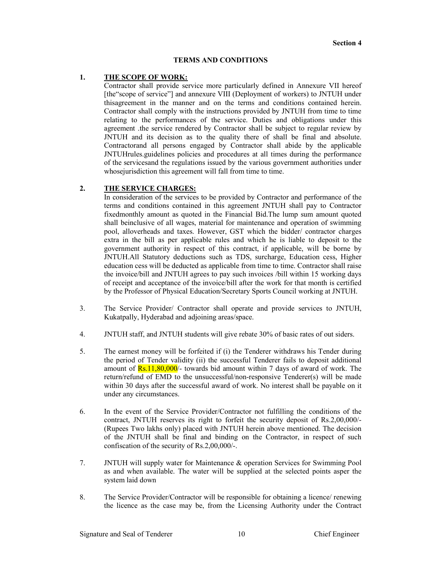### TERMS AND CONDITIONS

# 1. THE SCOPE OF WORK:

Contractor shall provide service more particularly defined in Annexure VII hereof [the"scope of service"] and annexure VIII (Deployment of workers) to JNTUH under thisagreement in the manner and on the terms and conditions contained herein. Contractor shall comply with the instructions provided by JNTUH from time to time relating to the performances of the service. Duties and obligations under this agreement .the service rendered by Contractor shall be subject to regular review by JNTUH and its decision as to the quality there of shall be final and absolute. Contractorand all persons engaged by Contractor shall abide by the applicable JNTUHrules.guidelines policies and procedures at all times during the performance of the servicesand the regulations issued by the various government authorities under whose jurisdiction this agreement will fall from time to time.

# 2. THE SERVICE CHARGES:

In consideration of the services to be provided by Contractor and performance of the terms and conditions contained in this agreement JNTUH shall pay to Contractor fixedmonthly amount as quoted in the Financial Bid.The lump sum amount quoted shall beinclusive of all wages, material for maintenance and operation of swimming pool, alloverheads and taxes. However, GST which the bidder/ contractor charges extra in the bill as per applicable rules and which he is liable to deposit to the government authority in respect of this contract, if applicable, will be borne by JNTUH.All Statutory deductions such as TDS, surcharge, Education cess, Higher education cess will be deducted as applicable from time to time. Contractor shall raise the invoice/bill and JNTUH agrees to pay such invoices /bill within 15 working days of receipt and acceptance of the invoice/bill after the work for that month is certified by the Professor of Physical Education/Secretary Sports Council working at JNTUH.

- 3. The Service Provider/ Contractor shall operate and provide services to JNTUH, Kukatpally, Hyderabad and adjoining areas/space.
- 4. JNTUH staff, and JNTUH students will give rebate 30% of basic rates of out siders.
- 5. The earnest money will be forfeited if (i) the Tenderer withdraws his Tender during the period of Tender validity (ii) the successful Tenderer fails to deposit additional amount of  $\frac{Rs.11,80,000}{$ - towards bid amount within 7 days of award of work. The return/refund of EMD to the unsuccessful/non-responsive Tenderer(s) will be made within 30 days after the successful award of work. No interest shall be payable on it under any circumstances.
- 6. In the event of the Service Provider/Contractor not fulfilling the conditions of the contract, JNTUH reserves its right to forfeit the security deposit of Rs.2,00,000/- (Rupees Two lakhs only) placed with JNTUH herein above mentioned. The decision of the JNTUH shall be final and binding on the Contractor, in respect of such confiscation of the security of Rs.2,00,000/-.
- 7. JNTUH will supply water for Maintenance & operation Services for Swimming Pool as and when available. The water will be supplied at the selected points asper the system laid down
- 8. The Service Provider/Contractor will be responsible for obtaining a licence/ renewing the licence as the case may be, from the Licensing Authority under the Contract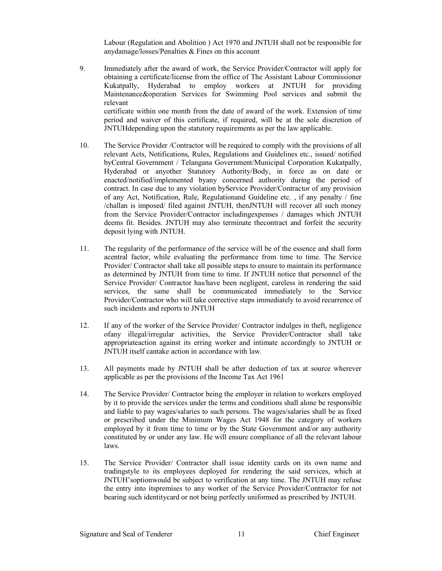Labour (Regulation and Abolition ) Act 1970 and JNTUH shall not be responsible for anydamage/losses/Penalties & Fines on this account

- 9. Immediately after the award of work, the Service Provider/Contractor will apply for obtaining a certificate/license from the office of The Assistant Labour Commissioner Kukatpally, Hyderabad to employ workers at JNTUH for providing Maintenance&operation Services for Swimming Pool services and submit the relevant certificate within one month from the date of award of the work. Extension of time period and waiver of this certificate, if required, will be at the sole discretion of JNTUHdepending upon the statutory requirements as per the law applicable.
- 10. The Service Provider /Contractor will be required to comply with the provisions of all relevant Acts, Notifications, Rules, Regulations and Guidelines etc., issued/ notified byCentral Government / Telangana Government/Municipal Corporation Kukatpally, Hyderabad or anyother Statutory Authority/Body, in force as on date or enacted/notified/implemented byany concerned authority during the period of contract. In case due to any violation byService Provider/Contractor of any provision of any Act, Notification, Rule, Regulationand Guideline etc. , if any penalty / fine /challan is imposed/ filed against JNTUH, thenJNTUH will recover all such money from the Service Provider/Contractor includingexpenses / damages which JNTUH deems fit. Besides. JNTUH may also terminate thecontract and forfeit the security deposit lying with JNTUH.
- 11. The regularity of the performance of the service will be of the essence and shall form acentral factor, while evaluating the performance from time to time. The Service Provider/ Contractor shall take all possible steps to ensure to maintain its performance as determined by JNTUH from time to time. If JNTUH notice that personnel of the Service Provider/ Contractor has/have been negligent, careless in rendering the said services, the same shall be communicated immediately to the Service Provider/Contractor who will take corrective steps immediately to avoid recurrence of such incidents and reports to JNTUH
- 12. If any of the worker of the Service Provider/ Contractor indulges in theft, negligence ofany illegal/irregular activities, the Service Provider/Contractor shall take appropriateaction against its erring worker and intimate accordingly to JNTUH or JNTUH itself cantake action in accordance with law.
- 13. All payments made by JNTUH shall be after deduction of tax at source wherever applicable as per the provisions of the Income Tax Act 1961
- 14. The Service Provider/ Contractor being the employer in relation to workers employed by it to provide the services under the terms and conditions shall alone be responsible and liable to pay wages/salaries to such persons. The wages/salaries shall be as fixed or prescribed under the Minimum Wages Act 1948 for the category of workers employed by it from time to time or by the State Government and/or any authority constituted by or under any law. He will ensure compliance of all the relevant labour laws.
- 15. The Service Provider/ Contractor shall issue identity cards on its own name and tradingstyle to its employees deployed for rendering the said services, which at JNTUH'soptionwould be subject to verification at any time. The JNTUH may refuse the entry into itspremises to any worker of the Service Provider/Contractor for not bearing such identitycard or not being perfectly uniformed as prescribed by JNTUH.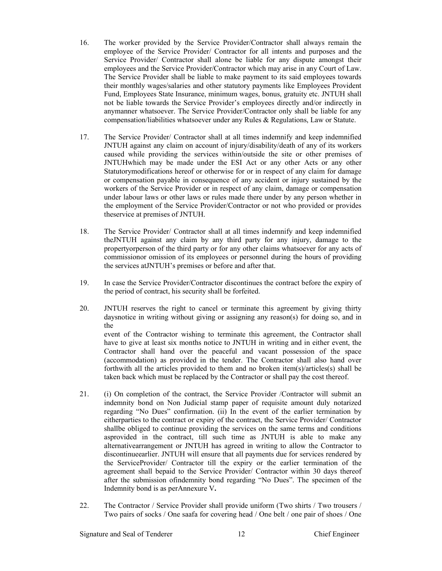- 16. The worker provided by the Service Provider/Contractor shall always remain the employee of the Service Provider/ Contractor for all intents and purposes and the Service Provider/ Contractor shall alone be liable for any dispute amongst their employees and the Service Provider/Contractor which may arise in any Court of Law. The Service Provider shall be liable to make payment to its said employees towards their monthly wages/salaries and other statutory payments like Employees Provident Fund, Employees State Insurance, minimum wages, bonus, gratuity etc. JNTUH shall not be liable towards the Service Provider's employees directly and/or indirectly in anymanner whatsoever. The Service Provider/Contractor only shall be liable for any compensation/liabilities whatsoever under any Rules & Regulations, Law or Statute.
- 17. The Service Provider/ Contractor shall at all times indemnify and keep indemnified JNTUH against any claim on account of injury/disability/death of any of its workers caused while providing the services within/outside the site or other premises of JNTUHwhich may be made under the ESI Act or any other Acts or any other Statutorymodifications hereof or otherwise for or in respect of any claim for damage or compensation payable in consequence of any accident or injury sustained by the workers of the Service Provider or in respect of any claim, damage or compensation under labour laws or other laws or rules made there under by any person whether in the employment of the Service Provider/Contractor or not who provided or provides theservice at premises of JNTUH.
- 18. The Service Provider/ Contractor shall at all times indemnify and keep indemnified theJNTUH against any claim by any third party for any injury, damage to the propertyorperson of the third party or for any other claims whatsoever for any acts of commissionor omission of its employees or personnel during the hours of providing the services atJNTUH's premises or before and after that.
- 19. In case the Service Provider/Contractor discontinues the contract before the expiry of the period of contract, his security shall be forfeited.
- 20. JNTUH reserves the right to cancel or terminate this agreement by giving thirty daysnotice in writing without giving or assigning any reason(s) for doing so, and in the event of the Contractor wishing to terminate this agreement, the Contractor shall have to give at least six months notice to JNTUH in writing and in either event, the Contractor shall hand over the peaceful and vacant possession of the space (accommodation) as provided in the tender. The Contractor shall also hand over forthwith all the articles provided to them and no broken item(s)/articles(s) shall be taken back which must be replaced by the Contractor or shall pay the cost thereof.
- 21. (i) On completion of the contract, the Service Provider /Contractor will submit an indemnity bond on Non Judicial stamp paper of requisite amount duly notarized regarding "No Dues" confirmation. (ii) In the event of the earlier termination by eitherparties to the contract or expiry of the contract, the Service Provider/ Contractor shallbe obliged to continue providing the services on the same terms and conditions asprovided in the contract, till such time as JNTUH is able to make any alternativearrangement or JNTUH has agreed in writing to allow the Contractor to discontinueearlier. JNTUH will ensure that all payments due for services rendered by the ServiceProvider/ Contractor till the expiry or the earlier termination of the agreement shall bepaid to the Service Provider/ Contractor within 30 days thereof after the submission ofindemnity bond regarding "No Dues". The specimen of the Indemnity bond is as perAnnexure V.
- 22. The Contractor / Service Provider shall provide uniform (Two shirts / Two trousers / Two pairs of socks / One saafa for covering head / One belt / one pair of shoes / One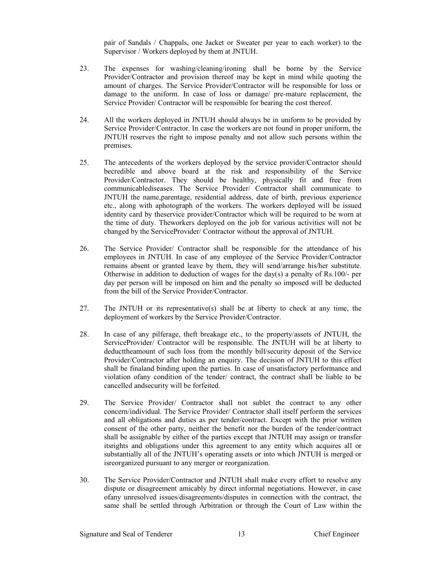pair of Sandals / Chappals, one Jacket or Sweater per year to each worker) to the Supervisor / Workers deployed by them at JNTUH.

- 23. The expenses for washing/cleaning/ironing shall be borne by the Service Provider/Contractor and provision thereof may be kept in mind while quoting the amount of charges. The Service Provider/Contractor will be responsible for loss or damage to the uniform. In case of loss or damage/ pre-mature replacement, the Service Provider/ Contractor will be responsible for bearing the cost thereof.
- 24. All the workers deployed in JNTUH should always be in uniform to be provided by Service Provider/Contractor. In case the workers are not found in proper uniform, the JNTUH reserves the right to impose penalty and not allow such persons within the premises.
- 25. The antecedents of the workers deployed by the service provider/Contractor should becredible and above board at the risk and responsibility of the Service Provider/Contractor. They should be healthy, physically fit and free from communicablediseases. The Service Provider/ Contractor shall communicate to JNTUH the name,parentage, residential address, date of birth, previous experience etc., along with aphotograph of the workers. The workers deployed will be issued identity card by theservice provider/Contractor which will be required to be worn at the time of duty. Theworkers deployed on the job for various activities will not be changed by the ServiceProvider/ Contractor without the approval of JNTUH.
- 26. The Service Provider/ Contractor shall be responsible for the attendance of his employees in JNTUH. In case of any employee of the Service Provider/Contractor remains absent or granted leave by them, they will send/arrange his/her substitute. Otherwise in addition to deduction of wages for the day(s) a penalty of Rs.100/- per day per person will be imposed on him and the penalty so imposed will be deducted from the bill of the Service Provider/Contractor.
- 27. The JNTUH or its representative(s) shall be at liberty to check at any time, the deployment of workers by the Service Provider/Contractor.
- 28. In case of any pilferage, theft breakage etc., to the property/assets of JNTUH, the ServiceProvider/ Contractor will be responsible. The JNTUH will be at liberty to deducttheamount of such loss from the monthly bill/security deposit of the Service Provider/Contractor after holding an enquiry. The decision of JNTUH to this effect shall be finaland binding upon the parties. In case of unsatisfactory performance and violation ofany condition of the tender/ contract, the contract shall be liable to be cancelled andsecurity will be forfeited.
- 29. The Service Provider/ Contractor shall not sublet the contract to any other concern/individual. The Service Provider/ Contractor shall itself perform the services and all obligations and duties as per tender/contract. Except with the prior written consent of the other party, neither the benefit nor the burden of the tender/contract shall be assignable by either of the parties except that JNTUH may assign or transfer itsrights and obligations under this agreement to any entity which acquires all or substantially all of the JNTUH's operating assets or into which JNTUH is merged or isreorganized pursuant to any merger or reorganization.
- 30. The Service Provider/Contractor and JNTUH shall make every effort to resolve any dispute or disagreement amicably by direct informal negotiations. However, in case ofany unresolved issues/disagreements/disputes in connection with the contract, the same shall be settled through Arbitration or through the Court of Law within the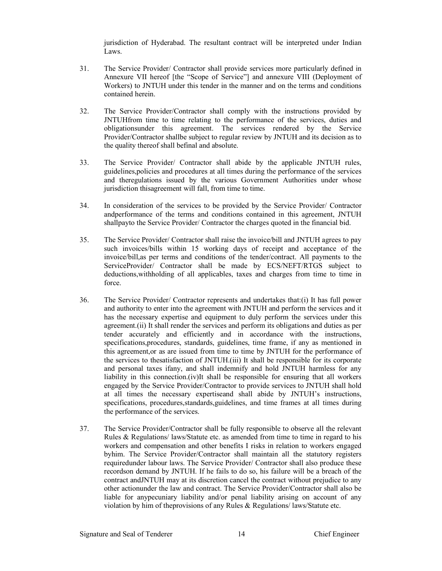jurisdiction of Hyderabad. The resultant contract will be interpreted under Indian Laws.

- 31. The Service Provider/ Contractor shall provide services more particularly defined in Annexure VII hereof [the "Scope of Service"] and annexure VIII (Deployment of Workers) to JNTUH under this tender in the manner and on the terms and conditions contained herein.
- 32. The Service Provider/Contractor shall comply with the instructions provided by JNTUHfrom time to time relating to the performance of the services, duties and obligationsunder this agreement. The services rendered by the Service Provider/Contractor shallbe subject to regular review by JNTUH and its decision as to the quality thereof shall befinal and absolute.
- 33. The Service Provider/ Contractor shall abide by the applicable JNTUH rules, guidelines,policies and procedures at all times during the performance of the services and theregulations issued by the various Government Authorities under whose jurisdiction thisagreement will fall, from time to time.
- 34. In consideration of the services to be provided by the Service Provider/ Contractor andperformance of the terms and conditions contained in this agreement, JNTUH shallpayto the Service Provider/ Contractor the charges quoted in the financial bid.
- 35. The Service Provider/ Contractor shall raise the invoice/bill and JNTUH agrees to pay such invoices/bills within 15 working days of receipt and acceptance of the invoice/bill,as per terms and conditions of the tender/contract. All payments to the ServiceProvider/ Contractor shall be made by ECS/NEFT/RTGS subject to deductions,withholding of all applicables, taxes and charges from time to time in force.
- 36. The Service Provider/ Contractor represents and undertakes that:(i) It has full power and authority to enter into the agreement with JNTUH and perform the services and it has the necessary expertise and equipment to duly perform the services under this agreement.(ii) It shall render the services and perform its obligations and duties as per tender accurately and efficiently and in accordance with the instructions, specifications,procedures, standards, guidelines, time frame, if any as mentioned in this agreement,or as are issued from time to time by JNTUH for the performance of the services to thesatisfaction of JNTUH.(iii) It shall be responsible for its corporate and personal taxes ifany, and shall indemnify and hold JNTUH harmless for any liability in this connection.(iv)It shall be responsible for ensuring that all workers engaged by the Service Provider/Contractor to provide services to JNTUH shall hold at all times the necessary expertiseand shall abide by JNTUH's instructions, specifications, procedures,standards,guidelines, and time frames at all times during the performance of the services.
- 37. The Service Provider/Contractor shall be fully responsible to observe all the relevant Rules & Regulations/ laws/Statute etc. as amended from time to time in regard to his workers and compensation and other benefits I risks in relation to workers engaged byhim. The Service Provider/Contractor shall maintain all the statutory registers requiredunder labour laws. The Service Provider/ Contractor shall also produce these recordson demand by JNTUH. If he fails to do so, his failure will be a breach of the contract andJNTUH may at its discretion cancel the contract without prejudice to any other actionunder the law and contract. The Service Provider/Contractor shall also be liable for anypecuniary liability and/or penal liability arising on account of any violation by him of theprovisions of any Rules & Regulations/ laws/Statute etc.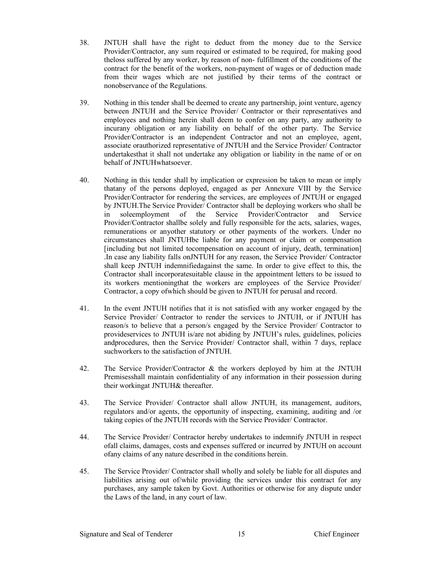- 38. JNTUH shall have the right to deduct from the money due to the Service Provider/Contractor, any sum required or estimated to be required, for making good theloss suffered by any worker, by reason of non- fulfillment of the conditions of the contract for the benefit of the workers, non-payment of wages or of deduction made from their wages which are not justified by their terms of the contract or nonobservance of the Regulations.
- 39. Nothing in this tender shall be deemed to create any partnership, joint venture, agency between JNTUH and the Service Provider/ Contractor or their representatives and employees and nothing herein shall deem to confer on any party, any authority to incurany obligation or any liability on behalf of the other party. The Service Provider/Contractor is an independent Contractor and not an employee, agent, associate orauthorized representative of JNTUH and the Service Provider/ Contractor undertakesthat it shall not undertake any obligation or liability in the name of or on behalf of JNTUHwhatsoever.
- 40. Nothing in this tender shall by implication or expression be taken to mean or imply thatany of the persons deployed, engaged as per Annexure VIII by the Service Provider/Contractor for rendering the services, are employees of JNTUH or engaged by JNTUH.The Service Provider/ Contractor shall be deploying workers who shall be in soleemployment of the Service Provider/Contractor and Service Provider/Contractor shallbe solely and fully responsible for the acts, salaries, wages, remunerations or anyother statutory or other payments of the workers. Under no circumstances shall JNTUHbe liable for any payment or claim or compensation [including but not limited tocompensation on account of injury, death, termination] .In case any liability falls onJNTUH for any reason, the Service Provider/ Contractor shall keep JNTUH indemnifiedagainst the same. In order to give effect to this, the Contractor shall incorporatesuitable clause in the appointment letters to be issued to its workers mentioningthat the workers are employees of the Service Provider/ Contractor, a copy ofwhich should be given to JNTUH for perusal and record.
- 41. In the event JNTUH notifies that it is not satisfied with any worker engaged by the Service Provider/ Contractor to render the services to JNTUH, or if JNTUH has reason/s to believe that a person/s engaged by the Service Provider/ Contractor to provideservices to JNTUH is/are not abiding by JNTUH's rules, guidelines, policies andprocedures, then the Service Provider/ Contractor shall, within 7 days, replace suchworkers to the satisfaction of JNTUH.
- 42. The Service Provider/Contractor & the workers deployed by him at the JNTUH Premisesshall maintain confidentiality of any information in their possession during their workingat JNTUH& thereafter.
- 43. The Service Provider/ Contractor shall allow JNTUH, its management, auditors, regulators and/or agents, the opportunity of inspecting, examining, auditing and /or taking copies of the JNTUH records with the Service Provider/ Contractor.
- 44. The Service Provider/ Contractor hereby undertakes to indemnify JNTUH in respect ofall claims, damages, costs and expenses suffered or incurred by JNTUH on account ofany claims of any nature described in the conditions herein.
- 45. The Service Provider/ Contractor shall wholly and solely be liable for all disputes and liabilities arising out of/while providing the services under this contract for any purchases, any sample taken by Govt. Authorities or otherwise for any dispute under the Laws of the land, in any court of law.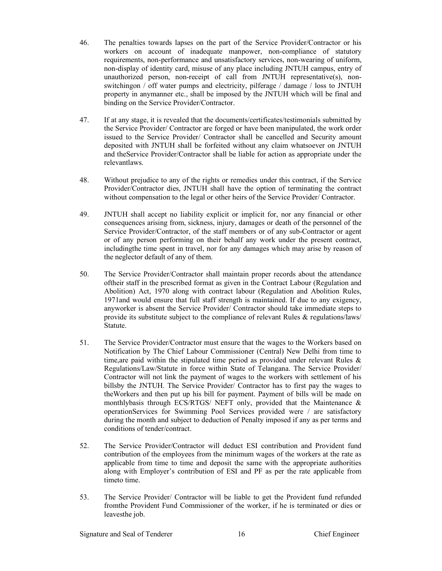- 46. The penalties towards lapses on the part of the Service Provider/Contractor or his workers on account of inadequate manpower, non-compliance of statutory requirements, non-performance and unsatisfactory services, non-wearing of uniform, non-display of identity card, misuse of any place including JNTUH campus, entry of unauthorized person, non-receipt of call from JNTUH representative(s), nonswitchingon / off water pumps and electricity, pilferage / damage / loss to JNTUH property in anymanner etc., shall be imposed by the JNTUH which will be final and binding on the Service Provider/Contractor.
- 47. If at any stage, it is revealed that the documents/certificates/testimonials submitted by the Service Provider/ Contractor are forged or have been manipulated, the work order issued to the Service Provider/ Contractor shall be cancelled and Security amount deposited with JNTUH shall be forfeited without any claim whatsoever on JNTUH and theService Provider/Contractor shall be liable for action as appropriate under the relevantlaws.
- 48. Without prejudice to any of the rights or remedies under this contract, if the Service Provider/Contractor dies, JNTUH shall have the option of terminating the contract without compensation to the legal or other heirs of the Service Provider/ Contractor.
- 49. JNTUH shall accept no liability explicit or implicit for, nor any financial or other consequences arising from, sickness, injury, damages or death of the personnel of the Service Provider/Contractor, of the staff members or of any sub-Contractor or agent or of any person performing on their behalf any work under the present contract, includingthe time spent in travel, nor for any damages which may arise by reason of the neglector default of any of them.
- 50. The Service Provider/Contractor shall maintain proper records about the attendance oftheir staff in the prescribed format as given in the Contract Labour (Regulation and Abolition) Act, 1970 along with contract labour (Regulation and Abolition Rules, 1971and would ensure that full staff strength is maintained. If due to any exigency, anyworker is absent the Service Provider/ Contractor should take immediate steps to provide its substitute subject to the compliance of relevant Rules & regulations/laws/ Statute.
- 51. The Service Provider/Contractor must ensure that the wages to the Workers based on Notification by The Chief Labour Commissioner (Central) New Delhi from time to time, are paid within the stipulated time period as provided under relevant Rules  $\&$ Regulations/Law/Statute in force within State of Telangana. The Service Provider/ Contractor will not link the payment of wages to the workers with settlement of his billsby the JNTUH. The Service Provider/ Contractor has to first pay the wages to theWorkers and then put up his bill for payment. Payment of bills will be made on monthlybasis through ECS/RTGS/ NEFT only, provided that the Maintenance & operationServices for Swimming Pool Services provided were / are satisfactory during the month and subject to deduction of Penalty imposed if any as per terms and conditions of tender/contract.
- 52. The Service Provider/Contractor will deduct ESI contribution and Provident fund contribution of the employees from the minimum wages of the workers at the rate as applicable from time to time and deposit the same with the appropriate authorities along with Employer's contribution of ESI and PF as per the rate applicable from timeto time.
- 53. The Service Provider/ Contractor will be liable to get the Provident fund refunded fromthe Provident Fund Commissioner of the worker, if he is terminated or dies or leavesthe job.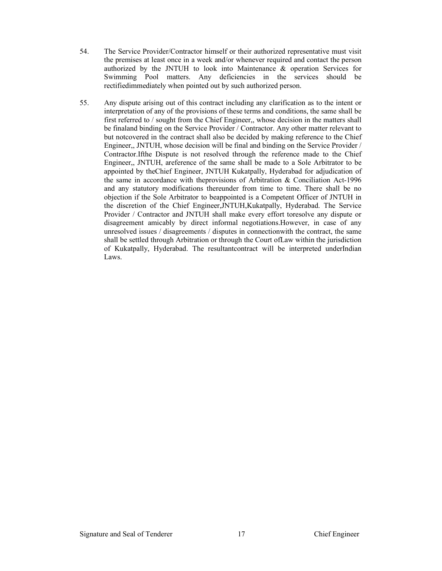- 54. The Service Provider/Contractor himself or their authorized representative must visit the premises at least once in a week and/or whenever required and contact the person authorized by the JNTUH to look into Maintenance & operation Services for Swimming Pool matters. Any deficiencies in the services should be rectifiedimmediately when pointed out by such authorized person.
- 55. Any dispute arising out of this contract including any clarification as to the intent or interpretation of any of the provisions of these terms and conditions, the same shall be first referred to / sought from the Chief Engineer,, whose decision in the matters shall be finaland binding on the Service Provider / Contractor. Any other matter relevant to but notcovered in the contract shall also be decided by making reference to the Chief Engineer,, JNTUH, whose decision will be final and binding on the Service Provider / Contractor.Ifthe Dispute is not resolved through the reference made to the Chief Engineer,, JNTUH, areference of the same shall be made to a Sole Arbitrator to be appointed by theChief Engineer, JNTUH Kukatpally, Hyderabad for adjudication of the same in accordance with theprovisions of Arbitration & Conciliation Act-1996 and any statutory modifications thereunder from time to time. There shall be no objection if the Sole Arbitrator to beappointed is a Competent Officer of JNTUH in the discretion of the Chief Engineer,JNTUH,Kukatpally, Hyderabad. The Service Provider / Contractor and JNTUH shall make every effort toresolve any dispute or disagreement amicably by direct informal negotiations.However, in case of any unresolved issues / disagreements / disputes in connectionwith the contract, the same shall be settled through Arbitration or through the Court ofLaw within the jurisdiction of Kukatpally, Hyderabad. The resultantcontract will be interpreted underIndian Laws.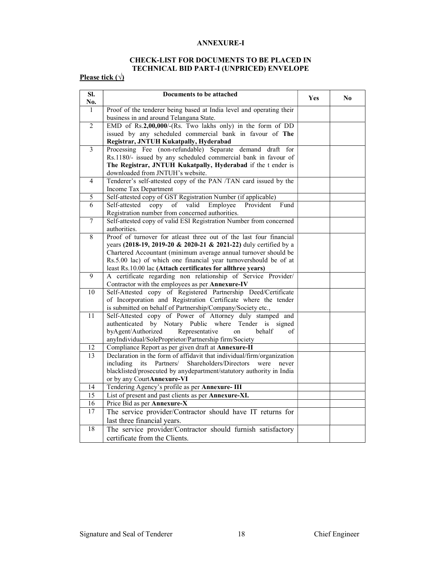#### ANNEXURE-I

# CHECK-LIST FOR DOCUMENTS TO BE PLACED IN TECHNICAL BID PART-I (UNPRICED) ENVELOPE

# Please tick ( $\sqrt{ }$ )

| SI.<br>No.      | Documents to be attached                                                                                                        | Yes | No |
|-----------------|---------------------------------------------------------------------------------------------------------------------------------|-----|----|
| $\overline{1}$  | Proof of the tenderer being based at India level and operating their                                                            |     |    |
|                 | business in and around Telangana State.                                                                                         |     |    |
| $\overline{2}$  | EMD of Rs.2,00,000/-(Rs. Two lakhs only) in the form of DD                                                                      |     |    |
|                 | issued by any scheduled commercial bank in favour of The                                                                        |     |    |
|                 | Registrar, JNTUH Kukatpally, Hyderabad                                                                                          |     |    |
| $\overline{3}$  | Processing Fee (non-refundable) Separate<br>demand draft for                                                                    |     |    |
|                 | Rs.1180/- issued by any scheduled commercial bank in favour of                                                                  |     |    |
|                 | The Registrar, JNTUH Kukatpally, Hyderabad if the t ender is                                                                    |     |    |
|                 | downloaded from JNTUH's website.                                                                                                |     |    |
| $\overline{4}$  | Tenderer's self-attested copy of the PAN /TAN card issued by the                                                                |     |    |
|                 | Income Tax Department                                                                                                           |     |    |
| 5               | Self-attested copy of GST Registration Number (if applicable)                                                                   |     |    |
| 6               | Self-attested<br>$\overline{\text{of}}$<br>Provident<br>Fund<br>copy<br>valid<br>Employee                                       |     |    |
|                 | Registration number from concerned authorities.                                                                                 |     |    |
| $\overline{7}$  | Self-attested copy of valid ESI Registration Number from concerned                                                              |     |    |
|                 | authorities.                                                                                                                    |     |    |
| $\overline{8}$  | Proof of turnover for atleast three out of the last four financial                                                              |     |    |
|                 | years (2018-19, 2019-20 & 2020-21 & 2021-22) duly certified by a                                                                |     |    |
|                 | Chartered Accountant (minimum average annual turnover should be                                                                 |     |    |
|                 | Rs.5.00 lac) of which one financial year turnovershould be of at<br>least Rs.10.00 lac (Attach certificates for allthree years) |     |    |
| 9               | A certificate regarding non relationship of Service Provider/                                                                   |     |    |
|                 | Contractor with the employees as per Annexure-IV                                                                                |     |    |
| $\overline{10}$ | Self-Attested copy of Registered Partnership Deed/Certificate                                                                   |     |    |
|                 | of Incorporation and Registration Certificate where the tender                                                                  |     |    |
|                 | is submitted on behalf of Partnership/Company/Society etc.,                                                                     |     |    |
| $\overline{11}$ | Self-Attested copy of Power of Attorney duly stamped and                                                                        |     |    |
|                 | authenticated by Notary Public where Tender is signed                                                                           |     |    |
|                 | Representative<br>byAgent/Authorized<br>on<br>behalf<br>of                                                                      |     |    |
|                 | anyIndividual/SoleProprietor/Partnership firm/Society                                                                           |     |    |
| 12              | Compliance Report as per given draft at Annexure-II                                                                             |     |    |
| 13              | Declaration in the form of affidavit that individual/firm/organization                                                          |     |    |
|                 | Shareholders/Directors<br>including<br>Partners/<br>its<br>were<br>never                                                        |     |    |
|                 | blacklisted/prosecuted by anydepartment/statutory authority in India                                                            |     |    |
|                 | or by any CourtAnnexure-VI                                                                                                      |     |    |
| 14              | Tendering Agency's profile as per Annexure-III                                                                                  |     |    |
| $\overline{15}$ | List of present and past clients as per Annexure-XI.                                                                            |     |    |
| $\overline{16}$ | Price Bid as per Annexure-X                                                                                                     |     |    |
| 17              | The service provider/Contractor should have IT returns for                                                                      |     |    |
|                 | last three financial years.                                                                                                     |     |    |
| 18              | The service provider/Contractor should furnish satisfactory                                                                     |     |    |
|                 | certificate from the Clients.                                                                                                   |     |    |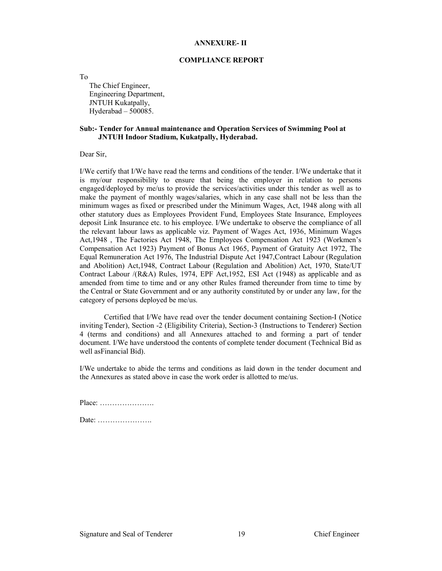#### ANNEXURE- II

#### COMPLIANCE REPORT

To

The Chief Engineer, Engineering Department, JNTUH Kukatpally, Hyderabad – 500085.

#### Sub:- Tender for Annual maintenance and Operation Services of Swimming Pool at JNTUH Indoor Stadium, Kukatpally, Hyderabad.

Dear Sir,

I/We certify that I/We have read the terms and conditions of the tender. I/We undertake that it is my/our responsibility to ensure that being the employer in relation to persons engaged/deployed by me/us to provide the services/activities under this tender as well as to make the payment of monthly wages/salaries, which in any case shall not be less than the minimum wages as fixed or prescribed under the Minimum Wages, Act, 1948 along with all other statutory dues as Employees Provident Fund, Employees State Insurance, Employees deposit Link Insurance etc. to his employee. I/We undertake to observe the compliance of all the relevant labour laws as applicable viz. Payment of Wages Act, 1936, Minimum Wages Act,1948 , The Factories Act 1948, The Employees Compensation Act 1923 (Workmen's Compensation Act 1923) Payment of Bonus Act 1965, Payment of Gratuity Act 1972, The Equal Remuneration Act 1976, The Industrial Dispute Act 1947,Contract Labour (Regulation and Abolition) Act,1948, Contract Labour (Regulation and Abolition) Act, 1970, State/UT Contract Labour /(R&A) Rules, 1974, EPF Act,1952, ESI Act (1948) as applicable and as amended from time to time and or any other Rules framed thereunder from time to time by the Central or State Government and or any authority constituted by or under any law, for the category of persons deployed be me/us.

Certified that I/We have read over the tender document containing Section-I (Notice inviting Tender), Section -2 (Eligibility Criteria), Section-3 (Instructions to Tenderer) Section 4 (terms and conditions) and all Annexures attached to and forming a part of tender document. I/We have understood the contents of complete tender document (Technical Bid as well asFinancial Bid).

I/We undertake to abide the terms and conditions as laid down in the tender document and the Annexures as stated above in case the work order is allotted to me/us.

Place: …………………. Date: ………………….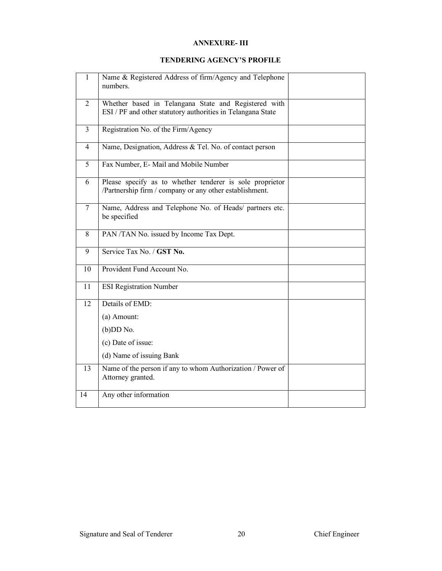# ANNEXURE- III

# TENDERING AGENCY'S PROFILE

| $\mathbf{1}$    | Name & Registered Address of firm/Agency and Telephone<br>numbers.                                                  |  |  |
|-----------------|---------------------------------------------------------------------------------------------------------------------|--|--|
| $\overline{2}$  | Whether based in Telangana State and Registered with<br>ESI / PF and other statutory authorities in Telangana State |  |  |
| $\overline{3}$  | Registration No. of the Firm/Agency                                                                                 |  |  |
| $\overline{4}$  | Name, Designation, Address & Tel. No. of contact person                                                             |  |  |
| $\overline{5}$  | Fax Number, E- Mail and Mobile Number                                                                               |  |  |
| 6               | Please specify as to whether tenderer is sole proprietor<br>/Partnership firm / company or any other establishment. |  |  |
| $\overline{7}$  | Name, Address and Telephone No. of Heads/ partners etc.<br>be specified                                             |  |  |
| 8               | PAN/TAN No. issued by Income Tax Dept.                                                                              |  |  |
| 9               | Service Tax No. / GST No.                                                                                           |  |  |
| 10              | Provident Fund Account No.                                                                                          |  |  |
| 11              | <b>ESI Registration Number</b>                                                                                      |  |  |
| $\overline{12}$ | Details of EMD:                                                                                                     |  |  |
|                 | (a) Amount:                                                                                                         |  |  |
|                 | $(b)$ DD No.                                                                                                        |  |  |
|                 | (c) Date of issue:                                                                                                  |  |  |
|                 | (d) Name of issuing Bank                                                                                            |  |  |
| 13              | Name of the person if any to whom Authorization / Power of<br>Attorney granted.                                     |  |  |
| 14              | Any other information                                                                                               |  |  |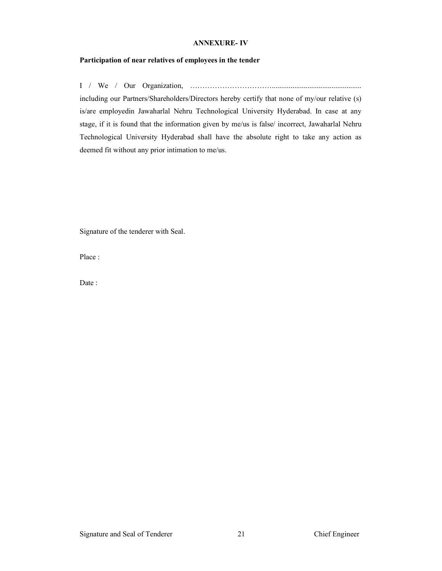#### ANNEXURE- IV

## Participation of near relatives of employees in the tender

I / We / Our Organization, ……………………………................................................ including our Partners/Shareholders/Directors hereby certify that none of my/our relative (s) is/are employedin Jawaharlal Nehru Technological University Hyderabad. In case at any stage, if it is found that the information given by me/us is false/ incorrect, Jawaharlal Nehru Technological University Hyderabad shall have the absolute right to take any action as deemed fit without any prior intimation to me/us.

Signature of the tenderer with Seal.

Place :

Date :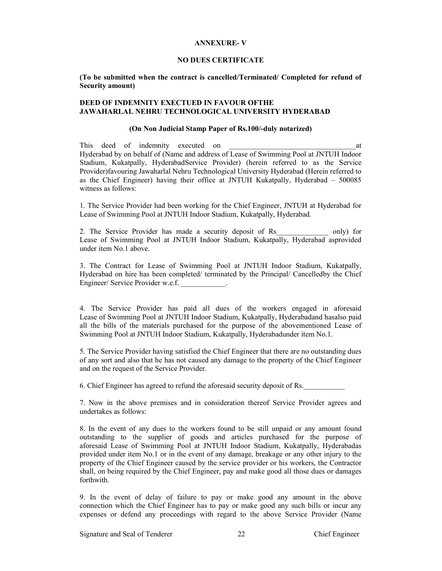#### ANNEXURE- V

#### NO DUES CERTIFICATE

(To be submitted when the contract is cancelled/Terminated/ Completed for refund of Security amount)

### DEED OF INDEMNITY EXECTUED IN FAVOUR OFTHE JAWAHARLAL NEHRU TECHNOLOGICAL UNIVERSITY HYDERABAD

#### (On Non Judicial Stamp Paper of Rs.100/-duly notarized)

This deed of indemnity executed on the state of  $\alpha$ Hyderabad by on behalf of (Name and address of Lease of Swimming Pool at JNTUH Indoor Stadium, Kukatpally, HyderabadService Provider) (herein referred to as the Service Provider)favouring Jawaharlal Nehru Technological University Hyderabad (Herein referred to as the Chief Engineer) having their office at JNTUH Kukatpally, Hyderabad – 500085 witness as follows:

1. The Service Provider had been working for the Chief Engineer, JNTUH at Hyderabad for Lease of Swimming Pool at JNTUH Indoor Stadium, Kukatpally, Hyderabad.

2. The Service Provider has made a security deposit of Rs and only) for Lease of Swimming Pool at JNTUH Indoor Stadium, Kukatpally, Hyderabad asprovided under item No.1 above.

3. The Contract for Lease of Swimming Pool at JNTUH Indoor Stadium, Kukatpally, Hyderabad on hire has been completed/ terminated by the Principal/ Cancelledby the Chief Engineer/ Service Provider w.e.f.

4. The Service Provider has paid all dues of the workers engaged in aforesaid Lease of Swimming Pool at JNTUH Indoor Stadium, Kukatpally, Hyderabadand hasalso paid all the bills of the materials purchased for the purpose of the abovementioned Lease of Swimming Pool at JNTUH Indoor Stadium, Kukatpally, Hyderabadunder item No.1.

5. The Service Provider having satisfied the Chief Engineer that there are no outstanding dues of any sort and also that he has not caused any damage to the property of the Chief Engineer and on the request of the Service Provider.

6. Chief Engineer has agreed to refund the aforesaid security deposit of Rs.

7. Now in the above premises and in consideration thereof Service Provider agrees and undertakes as follows:

8. In the event of any dues to the workers found to be still unpaid or any amount found outstanding to the supplier of goods and articles purchased for the purpose of aforesaid Lease of Swimming Pool at JNTUH Indoor Stadium, Kukatpally, Hyderabadas provided under item No.1 or in the event of any damage, breakage or any other injury to the property of the Chief Engineer caused by the service provider or his workers, the Contractor shall, on being required by the Chief Engineer, pay and make good all those dues or damages forthwith.

9. In the event of delay of failure to pay or make good any amount in the above connection which the Chief Engineer has to pay or make good any such bills or incur any expenses or defend any proceedings with regard to the above Service Provider (Name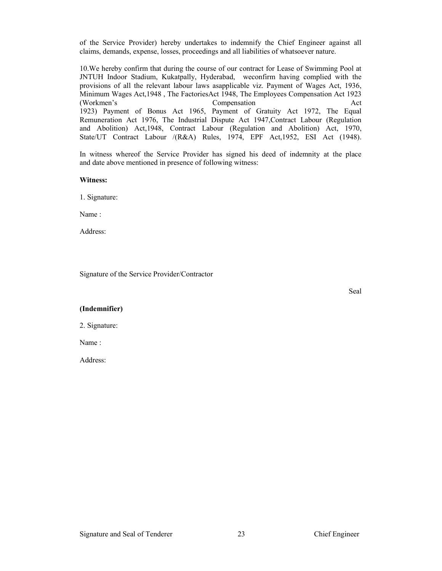of the Service Provider) hereby undertakes to indemnify the Chief Engineer against all claims, demands, expense, losses, proceedings and all liabilities of whatsoever nature.

10.We hereby confirm that during the course of our contract for Lease of Swimming Pool at JNTUH Indoor Stadium, Kukatpally, Hyderabad, weconfirm having complied with the provisions of all the relevant labour laws asapplicable viz. Payment of Wages Act, 1936, Minimum Wages Act,1948 , The FactoriesAct 1948, The Employees Compensation Act 1923 (Workmen's Compensation Act 1923) Payment of Bonus Act 1965, Payment of Gratuity Act 1972, The Equal Remuneration Act 1976, The Industrial Dispute Act 1947,Contract Labour (Regulation and Abolition) Act,1948, Contract Labour (Regulation and Abolition) Act, 1970, State/UT Contract Labour /(R&A) Rules, 1974, EPF Act, 1952, ESI Act (1948).

In witness whereof the Service Provider has signed his deed of indemnity at the place and date above mentioned in presence of following witness:

#### Witness:

1. Signature:

Name :

Address:

Signature of the Service Provider/Contractor

Seal

# (Indemnifier)

2. Signature:

Name :

Address: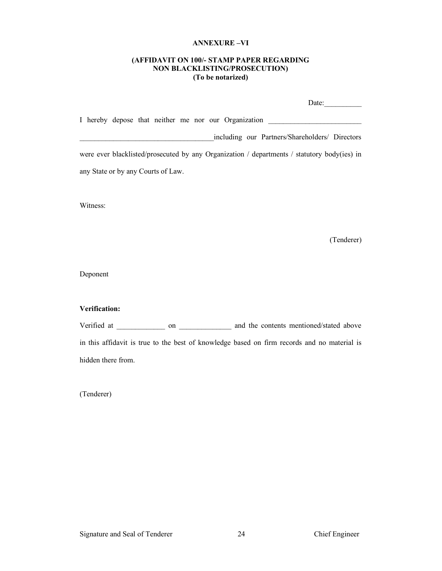#### ANNEXURE –VI

# (AFFIDAVIT ON 100/- STAMP PAPER REGARDING NON BLACKLISTING/PROSECUTION) (To be notarized)

|                                                                                             | Date:                                          |
|---------------------------------------------------------------------------------------------|------------------------------------------------|
| I hereby depose that neither me nor our Organization                                        |                                                |
|                                                                                             | including our Partners/Shareholders/ Directors |
| were ever blacklisted/prosecuted by any Organization / departments / statutory body(ies) in |                                                |
| any State or by any Courts of Law.                                                          |                                                |
|                                                                                             |                                                |

Witness:

(Tenderer)

Deponent

# Verification:

Verified at \_\_\_\_\_\_\_\_\_\_\_\_ on \_\_\_\_\_\_\_\_\_\_\_\_\_ and the contents mentioned/stated above in this affidavit is true to the best of knowledge based on firm records and no material is hidden there from.

(Tenderer)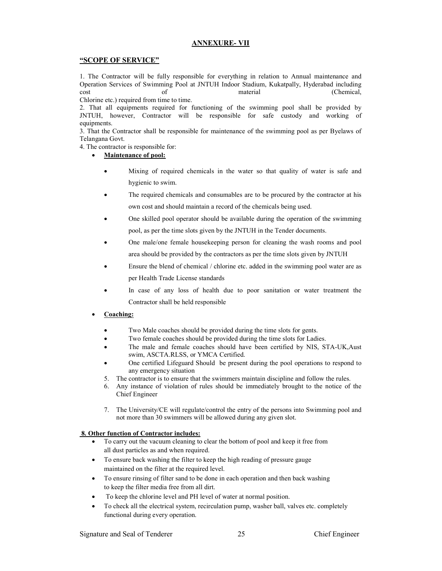#### ANNEXURE- VII

#### "SCOPE OF SERVICE"

1. The Contractor will be fully responsible for everything in relation to Annual maintenance and Operation Services of Swimming Pool at JNTUH Indoor Stadium, Kukatpally, Hyderabad including cost of material (Chemical,

Chlorine etc.) required from time to time.

2. That all equipments required for functioning of the swimming pool shall be provided by JNTUH, however, Contractor will be responsible for safe custody and working of equipments.

3. That the Contractor shall be responsible for maintenance of the swimming pool as per Byelaws of Telangana Govt.

4. The contractor is responsible for:

- Maintenance of pool:
	- Mixing of required chemicals in the water so that quality of water is safe and hygienic to swim.
	- The required chemicals and consumables are to be procured by the contractor at his own cost and should maintain a record of the chemicals being used.
	- One skilled pool operator should be available during the operation of the swimming pool, as per the time slots given by the JNTUH in the Tender documents.
	- One male/one female housekeeping person for cleaning the wash rooms and pool area should be provided by the contractors as per the time slots given by JNTUH
	- Ensure the blend of chemical / chlorine etc. added in the swimming pool water are as per Health Trade License standards
	- In case of any loss of health due to poor sanitation or water treatment the Contractor shall be held responsible
- Coaching:
	- Two Male coaches should be provided during the time slots for gents.
	- Two female coaches should be provided during the time slots for Ladies.
	- The male and female coaches should have been certified by NIS, STA-UK,Aust swim, ASCTA.RLSS, or YMCA Certified.
	- One certified Lifeguard Should be present during the pool operations to respond to any emergency situation
	- 5. The contractor is to ensure that the swimmers maintain discipline and follow the rules.
	- 6. Any instance of violation of rules should be immediately brought to the notice of the Chief Engineer
	- 7. The University/CE will regulate/control the entry of the persons into Swimming pool and not more than 30 swimmers will be allowed during any given slot.

#### 8. Other function of Contractor includes:

- To carry out the vacuum cleaning to clear the bottom of pool and keep it free from all dust particles as and when required.
- To ensure back washing the filter to keep the high reading of pressure gauge maintained on the filter at the required level.
- To ensure rinsing of filter sand to be done in each operation and then back washing to keep the filter media free from all dirt.
- To keep the chlorine level and PH level of water at normal position.
- To check all the electrical system, recirculation pump, washer ball, valves etc. completely functional during every operation.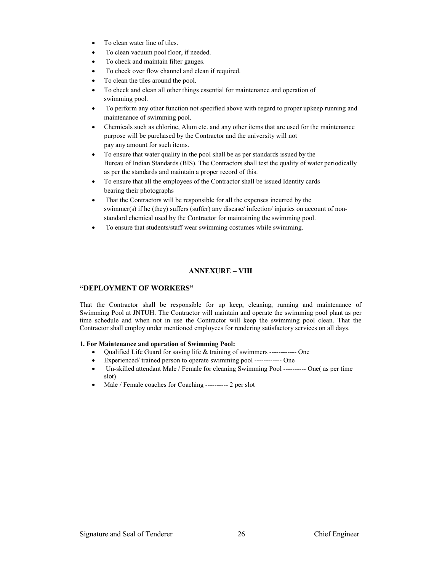- To clean water line of tiles.
- To clean vacuum pool floor, if needed.
- To check and maintain filter gauges.
- To check over flow channel and clean if required.
- To clean the tiles around the pool.
- To check and clean all other things essential for maintenance and operation of swimming pool.
- To perform any other function not specified above with regard to proper upkeep running and maintenance of swimming pool.
- Chemicals such as chlorine, Alum etc. and any other items that are used for the maintenance purpose will be purchased by the Contractor and the university will not pay any amount for such items.
- To ensure that water quality in the pool shall be as per standards issued by the Bureau of Indian Standards (BIS). The Contractors shall test the quality of water periodically as per the standards and maintain a proper record of this.
- To ensure that all the employees of the Contractor shall be issued Identity cards bearing their photographs
- That the Contractors will be responsible for all the expenses incurred by the swimmer(s) if he (they) suffers (suffer) any disease/ infection/ injuries on account of nonstandard chemical used by the Contractor for maintaining the swimming pool.
- To ensure that students/staff wear swimming costumes while swimming.

# ANNEXURE – VIII

#### "DEPLOYMENT OF WORKERS"

That the Contractor shall be responsible for up keep, cleaning, running and maintenance of Swimming Pool at JNTUH. The Contractor will maintain and operate the swimming pool plant as per time schedule and when not in use the Contractor will keep the swimming pool clean. That the Contractor shall employ under mentioned employees for rendering satisfactory services on all days.

#### 1. For Maintenance and operation of Swimming Pool:

- Qualified Life Guard for saving life & training of swimmers ------------ One
- Experienced/ trained person to operate swimming pool ------------ One
- Un-skilled attendant Male / Female for cleaning Swimming Pool ---------- One( as per time slot)
- Male / Female coaches for Coaching ---------- 2 per slot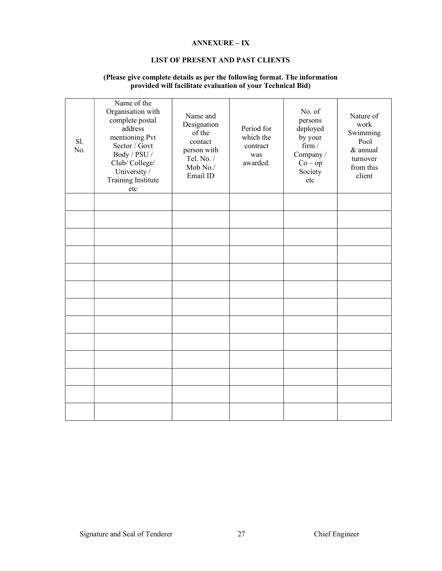# ANNEXURE – IX

# LIST OF PRESENT AND PAST CLIENTS

| S1.<br>No. | Name of the<br>Organisation with<br>complete postal<br>address<br>mentioning Pvt<br>Sector / Govt<br>Body / PSU /<br>Club/College/<br>University /<br>Training Institute<br>etc | Name and<br>Designation<br>of the<br>contact<br>person with<br>Tel. No. /<br>Mob No./<br>Email ID | Period for<br>which the<br>contract<br>was<br>awarded. | No. of<br>persons<br>deployed<br>by your<br>firm /<br>Company /<br>$Co - op$<br>Society<br>etc | Nature of<br>work<br>Swimming<br>Pool<br>& annual<br>turnover<br>from this<br>client |
|------------|---------------------------------------------------------------------------------------------------------------------------------------------------------------------------------|---------------------------------------------------------------------------------------------------|--------------------------------------------------------|------------------------------------------------------------------------------------------------|--------------------------------------------------------------------------------------|
|            |                                                                                                                                                                                 |                                                                                                   |                                                        |                                                                                                |                                                                                      |
|            |                                                                                                                                                                                 |                                                                                                   |                                                        |                                                                                                |                                                                                      |
|            |                                                                                                                                                                                 |                                                                                                   |                                                        |                                                                                                |                                                                                      |
|            |                                                                                                                                                                                 |                                                                                                   |                                                        |                                                                                                |                                                                                      |
|            |                                                                                                                                                                                 |                                                                                                   |                                                        |                                                                                                |                                                                                      |
|            |                                                                                                                                                                                 |                                                                                                   |                                                        |                                                                                                |                                                                                      |
|            |                                                                                                                                                                                 |                                                                                                   |                                                        |                                                                                                |                                                                                      |
|            |                                                                                                                                                                                 |                                                                                                   |                                                        |                                                                                                |                                                                                      |
|            |                                                                                                                                                                                 |                                                                                                   |                                                        |                                                                                                |                                                                                      |
|            |                                                                                                                                                                                 |                                                                                                   |                                                        |                                                                                                |                                                                                      |
|            |                                                                                                                                                                                 |                                                                                                   |                                                        |                                                                                                |                                                                                      |
|            |                                                                                                                                                                                 |                                                                                                   |                                                        |                                                                                                |                                                                                      |
|            |                                                                                                                                                                                 |                                                                                                   |                                                        |                                                                                                |                                                                                      |

# (Please give complete details as per the following format. The information provided will facilitate evaluation of your Technical Bid)